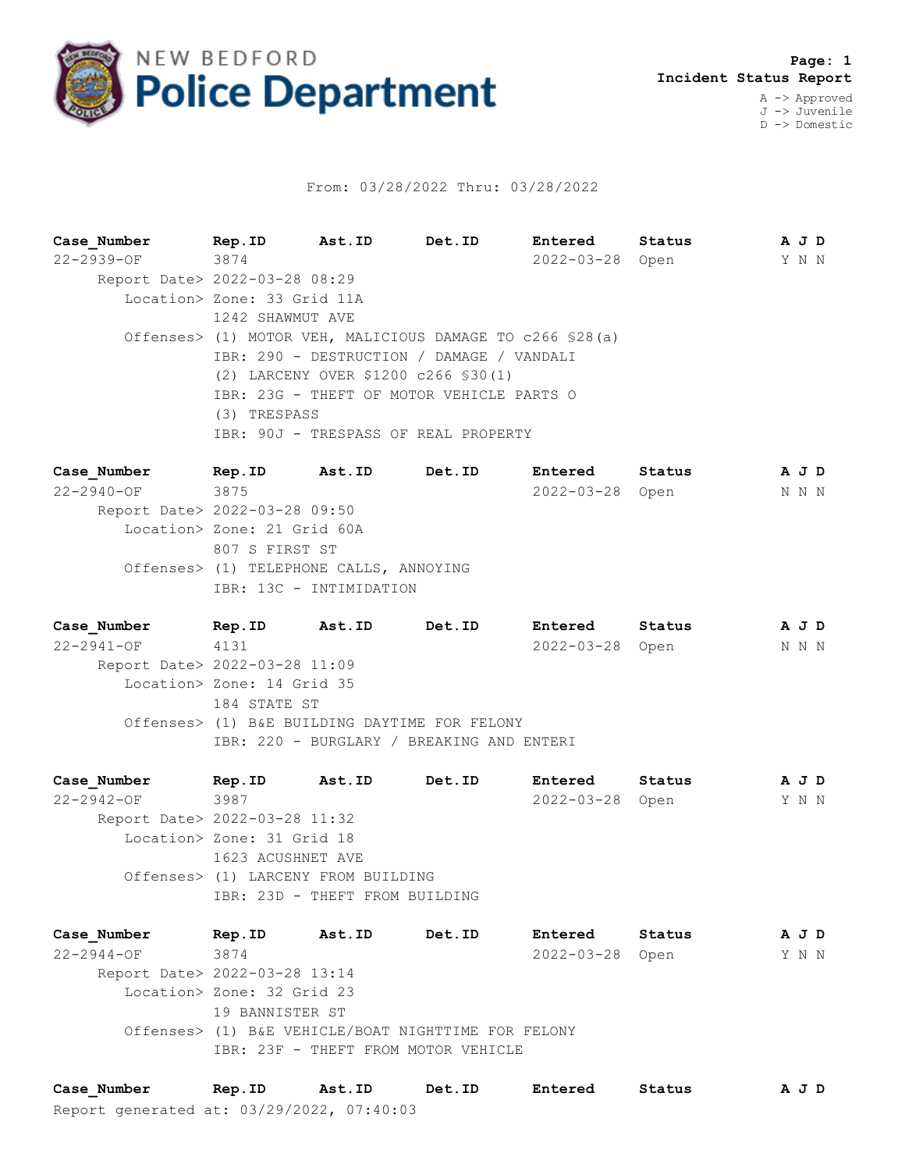

## From: 03/28/2022 Thru: 03/28/2022

**Case\_Number Rep.ID Ast.ID Det.ID Entered Status A J D** 22-2939-OF 3874 2022-03-28 Open Y N N Report Date> 2022-03-28 08:29 Location> Zone: 33 Grid 11A 1242 SHAWMUT AVE Offenses> (1) MOTOR VEH, MALICIOUS DAMAGE TO c266 §28(a) IBR: 290 - DESTRUCTION / DAMAGE / VANDALI (2) LARCENY OVER \$1200 c266 §30(1) IBR: 23G - THEFT OF MOTOR VEHICLE PARTS O (3) TRESPASS IBR: 90J - TRESPASS OF REAL PROPERTY

**Case\_Number Rep.ID Ast.ID Det.ID Entered Status A J D** 22-2940-OF 3875 2022-03-28 Open N N N Report Date> 2022-03-28 09:50 Location> Zone: 21 Grid 60A 807 S FIRST ST Offenses> (1) TELEPHONE CALLS, ANNOYING IBR: 13C - INTIMIDATION

**Case\_Number Rep.ID Ast.ID Det.ID Entered Status A J D** 22-2941-OF 4131 2022-03-28 Open N N N Report Date> 2022-03-28 11:09 Location> Zone: 14 Grid 35 184 STATE ST Offenses> (1) B&E BUILDING DAYTIME FOR FELONY IBR: 220 - BURGLARY / BREAKING AND ENTERI

**Case\_Number Rep.ID Ast.ID Det.ID Entered Status A J D** 22-2942-OF 3987 2022-03-28 Open Y N N Report Date> 2022-03-28 11:32 Location> Zone: 31 Grid 18 1623 ACUSHNET AVE Offenses> (1) LARCENY FROM BUILDING IBR: 23D - THEFT FROM BUILDING

**Case\_Number Rep.ID Ast.ID Det.ID Entered Status A J D** 22-2944-OF 3874 2022-03-28 Open Y N N Report Date> 2022-03-28 13:14 Location> Zone: 32 Grid 23 19 BANNISTER ST Offenses> (1) B&E VEHICLE/BOAT NIGHTTIME FOR FELONY IBR: 23F - THEFT FROM MOTOR VEHICLE

Report generated at: 03/29/2022, 07:40:03 **Case\_Number Rep.ID Ast.ID Det.ID Entered Status A J D**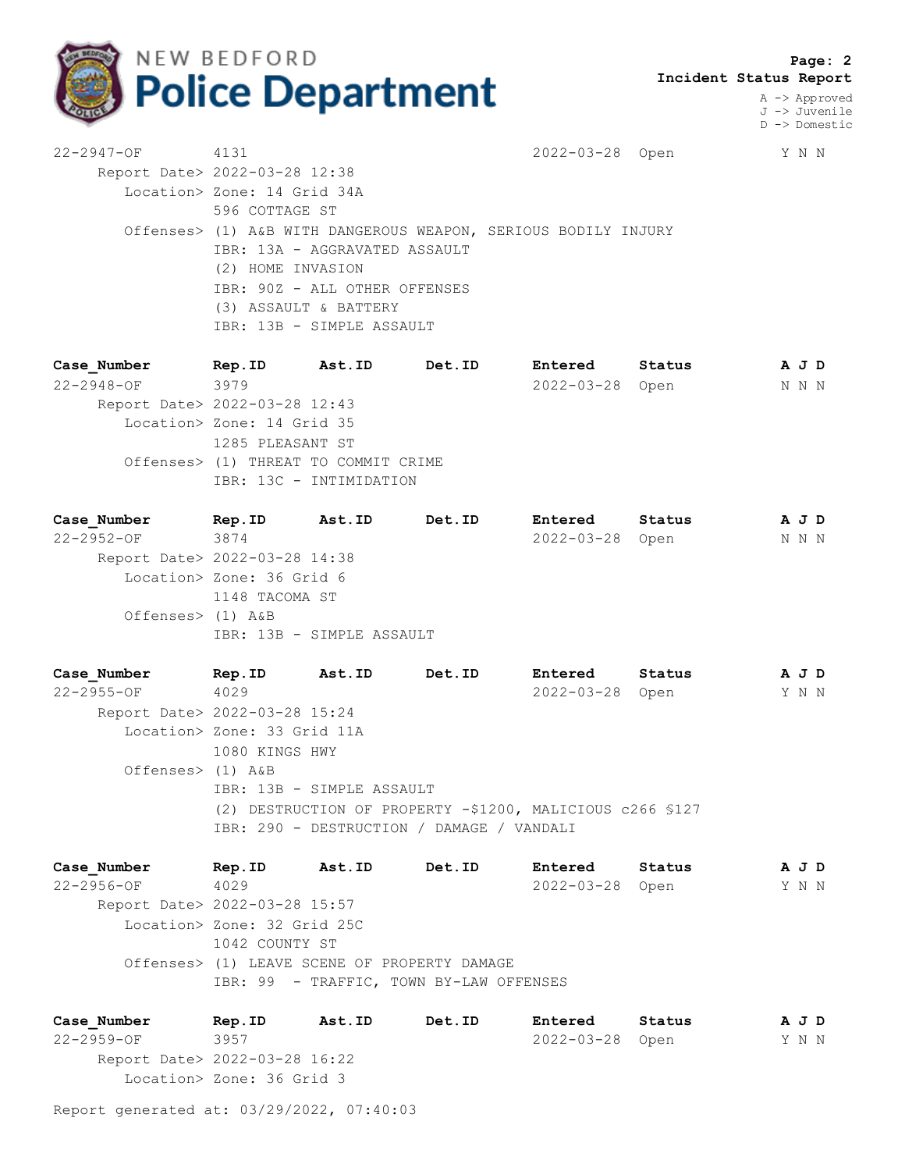

 **Page: 2 Incident Status Report**

> A -> Approved J -> Juvenile D -> Domestic

22-2947-OF 4131 2022-03-28 Open Y N N Report Date> 2022-03-28 12:38 Location> Zone: 14 Grid 34A 596 COTTAGE ST Offenses> (1) A&B WITH DANGEROUS WEAPON, SERIOUS BODILY INJURY IBR: 13A - AGGRAVATED ASSAULT (2) HOME INVASION IBR: 90Z - ALL OTHER OFFENSES (3) ASSAULT & BATTERY IBR: 13B - SIMPLE ASSAULT

**Case\_Number Rep.ID Ast.ID Det.ID Entered Status A J D** 22-2948-OF 3979 2022-03-28 Open N N N Report Date> 2022-03-28 12:43 Location> Zone: 14 Grid 35 1285 PLEASANT ST Offenses> (1) THREAT TO COMMIT CRIME IBR: 13C - INTIMIDATION

**Case\_Number Rep.ID Ast.ID Det.ID Entered Status A J D** 22-2952-OF 3874 2022-03-28 Open N N N Report Date> 2022-03-28 14:38 Location> Zone: 36 Grid 6 1148 TACOMA ST Offenses> (1) A&B IBR: 13B - SIMPLE ASSAULT

**Case\_Number Rep.ID Ast.ID Det.ID Entered Status A J D** 22-2955-OF 4029 2022-03-28 Open Y N N Report Date> 2022-03-28 15:24 Location> Zone: 33 Grid 11A 1080 KINGS HWY Offenses> (1) A&B IBR: 13B - SIMPLE ASSAULT (2) DESTRUCTION OF PROPERTY -\$1200, MALICIOUS c266 §127 IBR: 290 - DESTRUCTION / DAMAGE / VANDALI

**Case\_Number Rep.ID Ast.ID Det.ID Entered Status A J D** 22-2956-OF 4029 2022-03-28 Open Y N N Report Date> 2022-03-28 15:57 Location> Zone: 32 Grid 25C 1042 COUNTY ST Offenses> (1) LEAVE SCENE OF PROPERTY DAMAGE IBR: 99 - TRAFFIC, TOWN BY-LAW OFFENSES

**Case\_Number Rep.ID Ast.ID Det.ID Entered Status A J D** 22-2959-OF 3957 2022-03-28 Open Y N N Report Date> 2022-03-28 16:22 Location> Zone: 36 Grid 3

Report generated at: 03/29/2022, 07:40:03